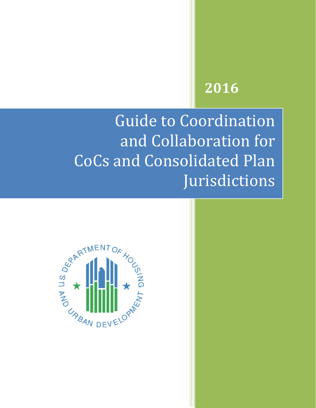# **2016**

Guide to Coordination and Collaboration for CoCs and Consolidated Plan Jurisdictions

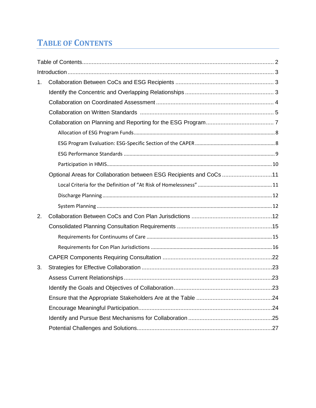# **TABLE OF CONTENTS**

| 1. |                                                                     |
|----|---------------------------------------------------------------------|
|    |                                                                     |
|    |                                                                     |
|    |                                                                     |
|    |                                                                     |
|    |                                                                     |
|    |                                                                     |
|    |                                                                     |
|    |                                                                     |
|    | Optional Areas for Collaboration between ESG Recipients and CoCs 11 |
|    |                                                                     |
|    |                                                                     |
|    |                                                                     |
| 2. |                                                                     |
|    |                                                                     |
|    |                                                                     |
|    |                                                                     |
|    |                                                                     |
| 3. |                                                                     |
|    |                                                                     |
|    |                                                                     |
|    |                                                                     |
|    |                                                                     |
|    |                                                                     |
|    |                                                                     |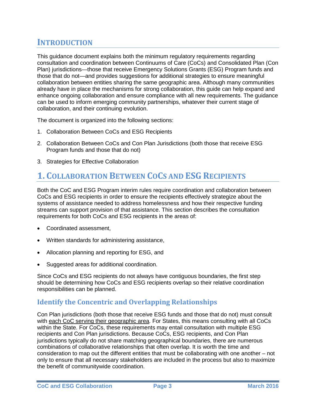# <span id="page-2-0"></span>**INTRODUCTION**

This guidance document explains both the minimum regulatory requirements regarding consultation and coordination between Continuums of Care (CoCs) and Consolidated Plan (Con Plan) jurisdictions—those that receive Emergency Solutions Grants (ESG) Program funds and those that do not—and provides suggestions for additional strategies to ensure meaningful collaboration between entities sharing the same geographic area. Although many communities already have in place the mechanisms for strong collaboration, this guide can help expand and enhance ongoing collaboration and ensure compliance with all new requirements. The guidance can be used to inform emerging community partnerships, whatever their current stage of collaboration, and their continuing evolution.

The document is organized into the following sections:

- 1. Collaboration Between CoCs and ESG Recipients
- 2. Collaboration Between CoCs and Con Plan Jurisdictions (both those that receive ESG Program funds and those that do not)
- 3. Strategies for Effective Collaboration

# **1. COLLABORATION BETWEEN COCS AND ESG RECIPIENTS**

Both the CoC and ESG Program interim rules require coordination and collaboration between CoCs and ESG recipients in order to ensure the recipients effectively strategize about the systems of assistance needed to address homelessness and how their respective funding streams can support provision of that assistance. This section describes the consultation requirements for both CoCs and ESG recipients in the areas of:

- Coordinated assessment,
- Written standards for administering assistance,
- Allocation planning and reporting for ESG, and
- Suggested areas for additional coordination.

Since CoCs and ESG recipients do not always have contiguous boundaries, the first step should be determining how CoCs and ESG recipients overlap so their relative coordination responsibilities can be planned.

### **Identify the Concentric and Overlapping Relationships**

Con Plan jurisdictions (both those that receive ESG funds and those that do not) must consult with each CoC serving their geographic area. For States, this means consulting with all CoCs within the State. For CoCs, these requirements may entail consultation with multiple ESG recipients and Con Plan jurisdictions. Because CoCs, ESG recipients, and Con Plan jurisdictions typically do not share matching geographical boundaries, there are numerous combinations of collaborative relationships that often overlap. It is worth the time and consideration to map out the different entities that must be collaborating with one another – not only to ensure that all necessary stakeholders are included in the process but also to maximize the benefit of communitywide coordination.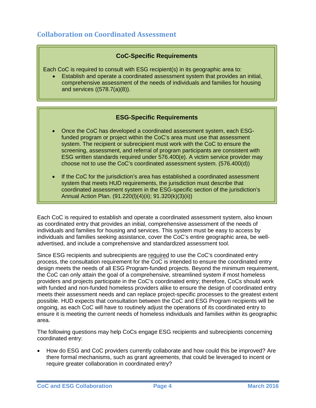# <span id="page-3-0"></span>**Collaboration on Coordinated Assessment**

#### **CoC-Specific Requirements**

Each CoC is required to consult with ESG recipient(s) in its geographic area to:

• Establish and operate a coordinated assessment system that provides an initial, comprehensive assessment of the needs of individuals and families for housing and services ((578.7(a)(8)).

#### **ESG-Specific Requirements**

- Once the CoC has developed a coordinated assessment system, each ESGfunded program or project within the CoC's area must use that assessment system. The recipient or subrecipient must work with the CoC to ensure the screening, assessment, and referral of program participants are consistent with ESG written standards required under 576.400(e). A victim service provider may choose not to use the CoC's coordinated assessment system. (576.400(d))
- If the CoC for the jurisdiction's area has established a coordinated assessment system that meets HUD requirements, the jurisdiction must describe that coordinated assessment system in the ESG-specific section of the jurisdiction's Annual Action Plan. (91.220(l)(4)(ii); 91.320(k)(3)(ii))

Each CoC is required to establish and operate a coordinated assessment system, also known as coordinated entry that provides an initial, comprehensive assessment of the needs of individuals and families for housing and services. This system must be easy to access by individuals and families seeking assistance, cover the CoC's entire geographic area, be welladvertised, and include a comprehensive and standardized assessment tool.

Since ESG recipients and subrecipients are required to use the CoC's coordinated entry process, the consultation requirement for the CoC is intended to ensure the coordinated entry design meets the needs of all ESG Program-funded projects. Beyond the minimum requirement, the CoC can only attain the goal of a comprehensive, streamlined system if most homeless providers and projects participate in the CoC's coordinated entry; therefore, CoCs should work with funded and non-funded homeless providers alike to ensure the design of coordinated entry meets their assessment needs and can replace project-specific processes to the greatest extent possible. HUD expects that consultation between the CoC and ESG Program recipients will be ongoing, as each CoC will have to routinely adjust the operations of its coordinated entry to ensure it is meeting the current needs of homeless individuals and families within its geographic area.

The following questions may help CoCs engage ESG recipients and subrecipients concerning coordinated entry:

• How do ESG and CoC providers currently collaborate and how could this be improved? Are there formal mechanisms, such as grant agreements, that could be leveraged to incent or require greater collaboration in coordinated entry?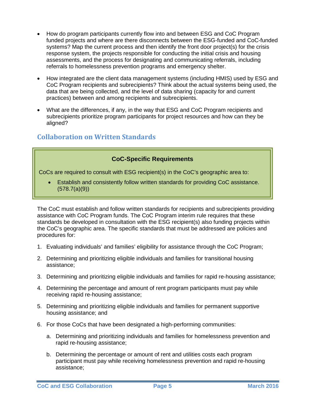- <span id="page-4-0"></span>• How do program participants currently flow into and between ESG and CoC Program funded projects and where are there disconnects between the ESG-funded and CoC-funded systems? Map the current process and then identify the front door project(s) for the crisis response system, the projects responsible for conducting the initial crisis and housing assessments, and the process for designating and communicating referrals, including referrals to homelessness prevention programs and emergency shelter.
- How integrated are the client data management systems (including HMIS) used by ESG and CoC Program recipients and subrecipients? Think about the actual systems being used, the data that are being collected, and the level of data sharing (capacity for and current practices) between and among recipients and subrecipients.
- What are the differences, if any, in the way that ESG and CoC Program recipients and subrecipients prioritize program participants for project resources and how can they be aligned?

# **Collaboration on Written Standards**

#### **CoC-Specific Requirements**

CoCs are required to consult with ESG recipient(s) in the CoC's geographic area to:

• Establish and consistently follow written standards for providing CoC assistance. (578.7(a)(9))

The CoC must establish and follow written standards for recipients and subrecipients providing assistance with CoC Program funds. The CoC Program interim rule requires that these standards be developed in consultation with the ESG recipient(s) also funding projects within the CoC's geographic area. The specific standards that must be addressed are policies and procedures for:

- 1. Evaluating individuals' and families' eligibility for assistance through the CoC Program;
- 2. Determining and prioritizing eligible individuals and families for transitional housing assistance;
- 3. Determining and prioritizing eligible individuals and families for rapid re-housing assistance;
- 4. Determining the percentage and amount of rent program participants must pay while receiving rapid re-housing assistance;
- 5. Determining and prioritizing eligible individuals and families for permanent supportive housing assistance; and
- 6. For those CoCs that have been designated a high-performing communities:
	- a. Determining and prioritizing individuals and families for homelessness prevention and rapid re-housing assistance;
	- b. Determining the percentage or amount of rent and utilities costs each program participant must pay while receiving homelessness prevention and rapid re-housing assistance;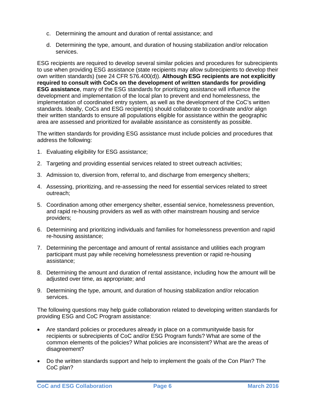- c. Determining the amount and duration of rental assistance; and
- d. Determining the type, amount, and duration of housing stabilization and/or relocation services.

ESG recipients are required to develop several similar policies and procedures for subrecipients to use when providing ESG assistance (state recipients may allow subrecipients to develop their own written standards) (see 24 CFR 576.400(d)). **Although ESG recipients are not explicitly required to consult with CoCs on the development of written standards for providing ESG assistance**, many of the ESG standards for prioritizing assistance will influence the development and implementation of the local plan to prevent and end homelessness, the implementation of coordinated entry system, as well as the development of the CoC's written standards. Ideally, CoCs and ESG recipient(s) should collaborate to coordinate and/or align their written standards to ensure all populations eligible for assistance within the geographic area are assessed and prioritized for available assistance as consistently as possible.

The written standards for providing ESG assistance must include policies and procedures that address the following:

- 1. Evaluating eligibility for ESG assistance;
- 2. Targeting and providing essential services related to street outreach activities;
- 3. Admission to, diversion from, referral to, and discharge from emergency shelters;
- 4. Assessing, prioritizing, and re-assessing the need for essential services related to street outreach;
- 5. Coordination among other emergency shelter, essential service, homelessness prevention, and rapid re-housing providers as well as with other mainstream housing and service providers;
- 6. Determining and prioritizing individuals and families for homelessness prevention and rapid re-housing assistance;
- 7. Determining the percentage and amount of rental assistance and utilities each program participant must pay while receiving homelessness prevention or rapid re-housing assistance;
- 8. Determining the amount and duration of rental assistance, including how the amount will be adjusted over time, as appropriate; and
- 9. Determining the type, amount, and duration of housing stabilization and/or relocation services.

The following questions may help guide collaboration related to developing written standards for providing ESG and CoC Program assistance:

- Are standard policies or procedures already in place on a communitywide basis for recipients or subrecipients of CoC and/or ESG Program funds? What are some of the common elements of the policies? What policies are inconsistent? What are the areas of disagreement?
- Do the written standards support and help to implement the goals of the Con Plan? The CoC plan?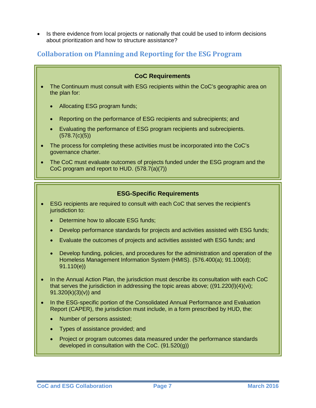<span id="page-6-0"></span>• Is there evidence from local projects or nationally that could be used to inform decisions about prioritization and how to structure assistance?

# **Collaboration on Planning and Reporting for the ESG Program**

# **CoC Requirements** • The Continuum must consult with ESG recipients within the CoC's geographic area on the plan for: • Allocating ESG program funds; • Reporting on the performance of ESG recipients and subrecipients; and • Evaluating the performance of ESG program recipients and subrecipients. (578.7(c)(5)) • The process for completing these activities must be incorporated into the CoC's governance charter. • The CoC must evaluate outcomes of projects funded under the ESG program and the CoC program and report to HUD. (578.7(a)(7)) **ESG-Specific Requirements**

- ESG recipients are required to consult with each CoC that serves the recipient's jurisdiction to:
	- Determine how to allocate ESG funds:
	- Develop performance standards for projects and activities assisted with ESG funds;
	- Evaluate the outcomes of projects and activities assisted with ESG funds; and
	- Develop funding, policies, and procedures for the administration and operation of the Homeless Management Information System (HMIS). (576.400(a); 91.100(d); 91.110(e))
- In the Annual Action Plan, the jurisdiction must describe its consultation with each CoC that serves the jurisdiction in addressing the topic areas above;  $((91.220(l)(4)(vi))$ ; 91.320(k)(3)(v)) and
- In the ESG-specific portion of the Consolidated Annual Performance and Evaluation Report (CAPER), the jurisdiction must include, in a form prescribed by HUD, the:
	- Number of persons assisted;
	- Types of assistance provided; and
	- Project or program outcomes data measured under the performance standards developed in consultation with the CoC. (91.520(g))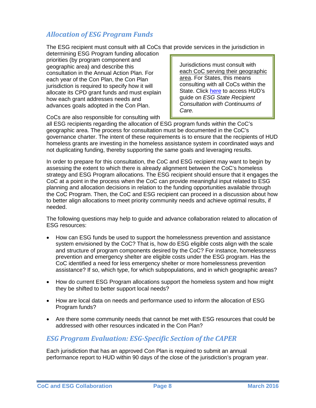# <span id="page-7-0"></span>*Allocation of ESG Program Funds*

The ESG recipient must consult with all CoCs that provide services in the jurisdiction in

determining ESG Program funding allocation priorities (by program component and geographic area) and describe this consultation in the Annual Action Plan. For each year of the Con Plan, the Con Plan jurisdiction is required to specify how it will allocate its CPD grant funds and must explain how each grant addresses needs and advances goals adopted in the Con Plan.

Jurisdictions must consult with each CoC serving their geographic area. For States, this means consulting with all CoCs within the State. Click [here](https://www.onecpd.info/resources/documents/ESGStateRecipientConsultationWithCoC.pdf) to access HUD's guide on *ESG State Recipient Consultation with Continuums of Care.*

CoCs are also responsible for consulting with

all ESG recipients regarding the allocation of ESG program funds within the CoC's geographic area. The process for consultation must be documented in the CoC's governance charter. The intent of these requirements is to ensure that the recipients of HUD homeless grants are investing in the homeless assistance system in coordinated ways and not duplicating funding, thereby supporting the same goals and leveraging results.

In order to prepare for this consultation, the CoC and ESG recipient may want to begin by assessing the extent to which there is already alignment between the CoC's homeless strategy and ESG Program allocations. The ESG recipient should ensure that it engages the CoC at a point in the process when the CoC can provide meaningful input related to ESG planning and allocation decisions in relation to the funding opportunities available through the CoC Program. Then, the CoC and ESG recipient can proceed in a discussion about how to better align allocations to meet priority community needs and achieve optimal results, if needed.

The following questions may help to guide and advance collaboration related to allocation of ESG resources:

- How can ESG funds be used to support the homelessness prevention and assistance system envisioned by the CoC? That is, how do ESG eligible costs align with the scale and structure of program components desired by the CoC? For instance, homelessness prevention and emergency shelter are eligible costs under the ESG program. Has the CoC identified a need for less emergency shelter or more homelessness prevention assistance? If so, which type, for which subpopulations, and in which geographic areas?
- How do current ESG Program allocations support the homeless system and how might they be shifted to better support local needs?
- How are local data on needs and performance used to inform the allocation of ESG Program funds?
- Are there some community needs that cannot be met with ESG resources that could be addressed with other resources indicated in the Con Plan?

### *ESG Program Evaluation: ESG-Specific Section of the CAPER*

Each jurisdiction that has an approved Con Plan is required to submit an annual performance report to HUD within 90 days of the close of the jurisdiction's program year.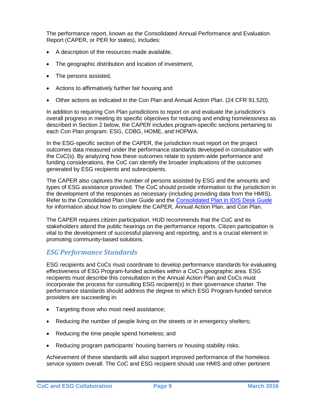<span id="page-8-0"></span>The performance report, known as the Consolidated Annual Performance and Evaluation Report (CAPER, or PER for states), includes:

- A description of the resources made available,
- The geographic distribution and location of investment,
- The persons assisted,
- Actions to affirmatively further fair housing and
- Other actions as indicated in the Con Plan and Annual Action Plan. (24 CFR 91.520).

In addition to requiring Con Plan jurisdictions to report on and evaluate the jurisdiction's overall progress in meeting its specific objectives for reducing and ending homelessness as described in Section 2 below, the CAPER includes program-specific sections pertaining to each Con Plan program: ESG, CDBG, HOME, and HOPWA.

In the ESG-specific section of the CAPER, the jurisdiction must report on the project outcomes data measured under the performance standards developed in consultation with the CoC(s). By analyzing how these outcomes relate to system-wide performance and funding considerations, the CoC can identify the broader implications of the outcomes generated by ESG recipients and subrecipients.

The CAPER also captures the number of persons assisted by ESG and the amounts and types of ESG assistance provided. The CoC should provide information to the jurisdiction in the development of the responses as necessary (including providing data from the HMIS). Refer to the Consolidated Plan User Guide and the [Consolidated Plan in IDIS Desk Guide](https://www.hudexchange.info/resource/2641/econ-planning-suite-desk-guide-idis-conplan-action-plan-caper-per/) for information about how to complete the CAPER, Annual Action Plan, and Con Plan.

The CAPER requires citizen participation. HUD recommends that the CoC and its stakeholders attend the public hearings on the performance reports. Citizen participation is vital to the development of successful planning and reporting, and is a crucial element in promoting community-based solutions.

#### *ESG Performance Standards*

ESG recipients and CoCs must coordinate to develop performance standards for evaluating effectiveness of ESG Program-funded activities within a CoC's geographic area. ESG recipients must describe this consultation in the Annual Action Plan and CoCs must incorporate the process for consulting ESG recipient(s) in their governance charter. The performance standards should address the degree to which ESG Program-funded service providers are succeeding in:

- Targeting those who most need assistance;
- Reducing the number of people living on the streets or in emergency shelters;
- Reducing the time people spend homeless; and
- Reducing program participants' housing barriers or housing stability risks.

Achievement of these standards will also support improved performance of the homeless service system overall. The CoC and ESG recipient should use HMIS and other pertinent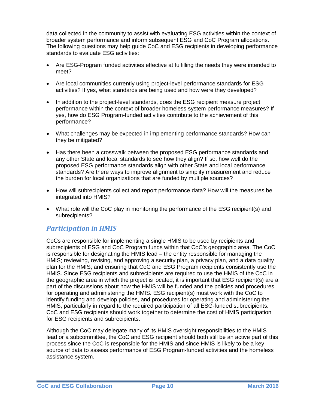<span id="page-9-0"></span>data collected in the community to assist with evaluating ESG activities within the context of broader system performance and inform subsequent ESG and CoC Program allocations. The following questions may help guide CoC and ESG recipients in developing performance standards to evaluate ESG activities:

- Are ESG-Program funded activities effective at fulfilling the needs they were intended to meet?
- Are local communities currently using project-level performance standards for ESG activities? If yes, what standards are being used and how were they developed?
- In addition to the project-level standards, does the ESG recipient measure project performance within the context of broader homeless system performance measures? If yes, how do ESG Program-funded activities contribute to the achievement of this performance?
- What challenges may be expected in implementing performance standards? How can they be mitigated?
- Has there been a crosswalk between the proposed ESG performance standards and any other State and local standards to see how they align? If so, how well do the proposed ESG performance standards align with other State and local performance standards? Are there ways to improve alignment to simplify measurement and reduce the burden for local organizations that are funded by multiple sources?
- How will subrecipients collect and report performance data? How will the measures be integrated into HMIS?
- What role will the CoC play in monitoring the performance of the ESG recipient(s) and subrecipients?

### *Participation in HMIS*

CoCs are responsible for implementing a single HMIS to be used by recipients and subrecipients of ESG and CoC Program funds within that CoC's geographic area. The CoC is responsible for designating the HMIS lead – the entity responsible for managing the HMIS; reviewing, revising, and approving a security plan, a privacy plan, and a data quality plan for the HMIS; and ensuring that CoC and ESG Program recipients consistently use the HMIS. Since ESG recipients and subrecipients are required to use the HMIS of the CoC in the geographic area in which the project is located, it is important that ESG recipient(s) are a part of the discussions about how the HMIS will be funded and the policies and procedures for operating and administering the HMIS. ESG recipient(s) must work with the CoC to identify funding and develop policies, and procedures for operating and administering the HMIS, particularly in regard to the required participation of all ESG-funded subrecipients. CoC and ESG recipients should work together to determine the cost of HMIS participation for ESG recipients and subrecipients.

Although the CoC may delegate many of its HMIS oversight responsibilities to the HMIS lead or a subcommittee, the CoC and ESG recipient should both still be an active part of this process since the CoC is responsible for the HMIS and since HMIS is likely to be a key source of data to assess performance of ESG Program-funded activities and the homeless assistance system.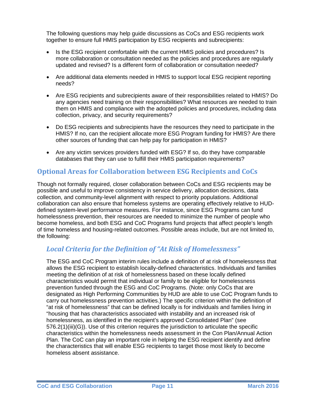<span id="page-10-0"></span>The following questions may help guide discussions as CoCs and ESG recipients work together to ensure full HMIS participation by ESG recipients and subrecipients:

- Is the ESG recipient comfortable with the current HMIS policies and procedures? Is more collaboration or consultation needed as the policies and procedures are regularly updated and revised? Is a different form of collaboration or consultation needed?
- Are additional data elements needed in HMIS to support local ESG recipient reporting needs?
- Are ESG recipients and subrecipients aware of their responsibilities related to HMIS? Do any agencies need training on their responsibilities? What resources are needed to train them on HMIS and compliance with the adopted policies and procedures, including data collection, privacy, and security requirements?
- Do ESG recipients and subrecipients have the resources they need to participate in the HMIS? If no, can the recipient allocate more ESG Program funding for HMIS? Are there other sources of funding that can help pay for participation in HMIS?
- Are any victim services providers funded with ESG? If so, do they have comparable databases that they can use to fulfill their HMIS participation requirements?

### **Optional Areas for Collaboration between ESG Recipients and CoCs**

Though not formally required, closer collaboration between CoCs and ESG recipients may be possible and useful to improve consistency in service delivery, allocation decisions, data collection, and community-level alignment with respect to priority populations. Additional collaboration can also ensure that homeless systems are operating effectively relative to HUDdefined system-level performance measures. For instance, since ESG Programs can fund homelessness prevention, their resources are needed to minimize the number of people who become homeless, and both ESG and CoC Programs fund projects that affect people's length of time homeless and housing-related outcomes. Possible areas include, but are not limited to, the following:

### *Local Criteria for the Definition of "At Risk of Homelessness"*

The ESG and CoC Program interim rules include a definition of at risk of homelessness that allows the ESG recipient to establish locally-defined characteristics. Individuals and families meeting the definition of at risk of homelessness based on these locally defined characteristics would permit that individual or family to be eligible for homelessness prevention funded through the ESG and CoC Programs. (Note: only CoCs that are designated as High Performing Communities by HUD are able to use CoC Program funds to carry out homelessness prevention activities.) The specific criterion within the definition of "at risk of homelessness" that can be defined locally is for individuals and families living in "housing that has characteristics associated with instability and an increased risk of homelessness, as identified in the recipient's approved Consolidated Plan" (see 576.2(1)(iii)(G)). Use of this criterion requires the jurisdiction to articulate the specific characteristics within the homelessness needs assessment in the Con Plan/Annual Action Plan. The CoC can play an important role in helping the ESG recipient identify and define the characteristics that will enable ESG recipients to target those most likely to become homeless absent assistance.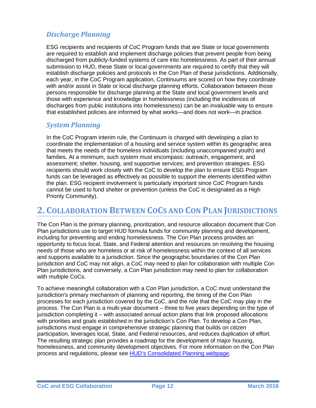# <span id="page-11-0"></span>*Discharge Planning*

ESG recipients and recipients of CoC Program funds that are State or local governments are required to establish and implement discharge policies that prevent people from being discharged from publicly-funded systems of care into homelessness. As part of their annual submission to HUD, these State or local governments are required to certify that they will establish discharge policies and protocols in the Con Plan of these jurisdictions. Additionally, each year, in the CoC Program application, Continuums are scored on how they coordinate with and/or assist in State or local discharge planning efforts. Collaboration between those persons responsible for discharge planning at the State and local government levels and those with experience and knowledge in homelessness (including the incidences of discharges from public institutions into homelessness) can be an invaluable way to ensure that established policies are informed by what works—and does not work—in practice.

### *System Planning*

In the CoC Program interim rule, the Continuum is charged with developing a plan to coordinate the implementation of a housing and service system within its geographic area that meets the needs of the homeless individuals (including unaccompanied youth) and families. At a minimum, such system must encompass: outreach, engagement, and assessment; shelter, housing, and supportive services; and prevention strategies. ESG recipients should work closely with the CoC to develop the plan to ensure ESG Program funds can be leveraged as effectively as possible to support the elements identified within the plan. ESG recipient involvement is particularly important since CoC Program funds cannot be used to fund shelter or prevention (unless the CoC is designated as a High Priority Community).

# **2. COLLABORATION BETWEEN COCS AND CON PLAN JURISDICTIONS**

The Con Plan is the primary planning, prioritization, and resource allocation document that Con Plan jurisdictions use to target HUD formula funds for community planning and development, including for preventing and ending homelessness. The Con Plan process provides an opportunity to focus local, State, and Federal attention and resources on resolving the housing needs of those who are homeless or at risk of homelessness within the context of all services and supports available to a jurisdiction. Since the geographic boundaries of the Con Plan jurisdiction and CoC may not align, a CoC may need to plan for collaboration with multiple Con Plan jurisdictions, and conversely, a Con Plan jurisdiction may need to plan for collaboration with multiple CoCs.

To achieve meaningful collaboration with a Con Plan jurisdiction, a CoC must understand the jurisdiction's primary mechanism of planning and reporting, the timing of the Con Plan processes for each jurisdiction covered by the CoC, and the role that the CoC may play in the process. The Con Plan is a multi-year document – three to five years depending on the type of jurisdiction completing it – with associated annual action plans that link proposed allocations with priorities and goals established in the jurisdiction's Con Plan. To develop a Con Plan, jurisdictions must engage in comprehensive strategic planning that builds on citizen participation, leverages local, State, and Federal resources, and reduces duplication of effort. The resulting strategic plan provides a roadmap for the development of major housing, homelessness, and community development objectives. For more information on the Con Plan process and regulations, please see [HUD's Consolidated Planning webpage.](https://www.hudexchange.info/programs/consolidated-plan/)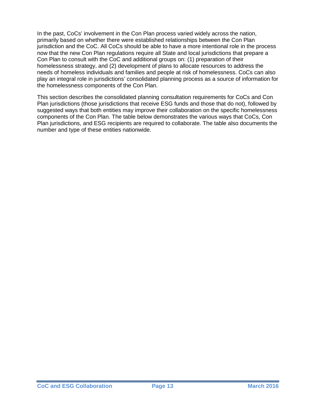In the past, CoCs' involvement in the Con Plan process varied widely across the nation, primarily based on whether there were established relationships between the Con Plan jurisdiction and the CoC. All CoCs should be able to have a more intentional role in the process now that the new Con Plan regulations require all State and local jurisdictions that prepare a Con Plan to consult with the CoC and additional groups on: (1) preparation of their homelessness strategy, and (2) development of plans to allocate resources to address the needs of homeless individuals and families and people at risk of homelessness. CoCs can also play an integral role in jurisdictions' consolidated planning process as a source of information for the homelessness components of the Con Plan.

This section describes the consolidated planning consultation requirements for CoCs and Con Plan jurisdictions (those jurisdictions that receive ESG funds and those that do not), followed by suggested ways that both entities may improve their collaboration on the specific homelessness components of the Con Plan. The table below demonstrates the various ways that CoCs, Con Plan jurisdictions, and ESG recipients are required to collaborate. The table also documents the number and type of these entities nationwide.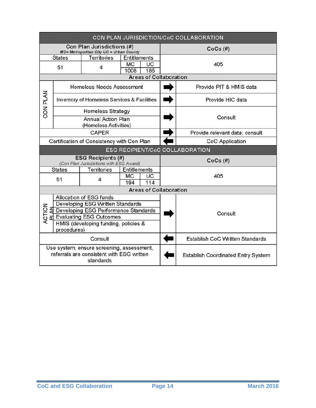| CON PLAN JURISDICTION/CoC COLLABORATION                                                             |                                                                                      |                                  |                     |                                           |  |                                        |
|-----------------------------------------------------------------------------------------------------|--------------------------------------------------------------------------------------|----------------------------------|---------------------|-------------------------------------------|--|----------------------------------------|
| Con Plan Jurisdictions (#)<br>MC= Metropolitan City UC = Urban County                               |                                                                                      |                                  |                     | $CoCs$ $(H)$                              |  |                                        |
|                                                                                                     | <b>States</b>                                                                        | <b>Territories</b>               | <b>Entitlements</b> |                                           |  |                                        |
| <b>MC</b><br>UC<br>51<br>4<br>1008<br>185                                                           |                                                                                      |                                  |                     | 405                                       |  |                                        |
|                                                                                                     |                                                                                      |                                  |                     | <b>Areas of Collaboration</b>             |  |                                        |
|                                                                                                     | <b>Homeless Needs Assessment</b>                                                     |                                  |                     |                                           |  | Provide PIT & HMIS data                |
| CON PLAN                                                                                            | Inventory of Homeless Services & Facilities                                          |                                  |                     |                                           |  | Provide HIC data                       |
|                                                                                                     |                                                                                      | <b>Homeless Strategy</b>         |                     |                                           |  |                                        |
|                                                                                                     | <b>Annual Action Plan</b><br>(Homeless Activities)                                   |                                  |                     |                                           |  | Consult                                |
|                                                                                                     |                                                                                      | <b>CAPER</b>                     |                     |                                           |  | Provide relevant data; consult         |
| Certification of Consistency with Con Plan                                                          |                                                                                      |                                  |                     | CoC Application                           |  |                                        |
|                                                                                                     |                                                                                      |                                  |                     |                                           |  | <b>ESG RECIPIENT/CoC COLLABORATION</b> |
|                                                                                                     | <b>ESG Recipients (#)</b><br>$CoCs$ $(H)$<br>(Con Plan Jurisdictions with ESG Award) |                                  |                     |                                           |  |                                        |
|                                                                                                     | <b>States</b>                                                                        | Territories                      | <b>Entitlements</b> |                                           |  |                                        |
|                                                                                                     | 51                                                                                   | 4                                | <b>MC</b><br>194    | UC<br>114                                 |  | 405                                    |
|                                                                                                     |                                                                                      |                                  |                     | <b>Areas of Collaboration</b>             |  |                                        |
|                                                                                                     |                                                                                      | Allocation of ESG funds          |                     |                                           |  |                                        |
|                                                                                                     |                                                                                      | Developing ESG Written Standards |                     |                                           |  |                                        |
|                                                                                                     | ACTION<br>₹<br>Developing ESG Performance Standards                                  |                                  |                     |                                           |  | Consult                                |
| <b>Evaluating ESG Outcomes</b>                                                                      |                                                                                      |                                  |                     |                                           |  |                                        |
| HMIS (developing funding, policies &<br>procedures)                                                 |                                                                                      |                                  |                     |                                           |  |                                        |
| Consult                                                                                             |                                                                                      |                                  |                     | <b>Establish CoC Written Standards</b>    |  |                                        |
| Use system; ensure screening, assessment,<br>referrals are consistent with ESG written<br>standards |                                                                                      |                                  |                     | <b>Establish Coordinated Entry System</b> |  |                                        |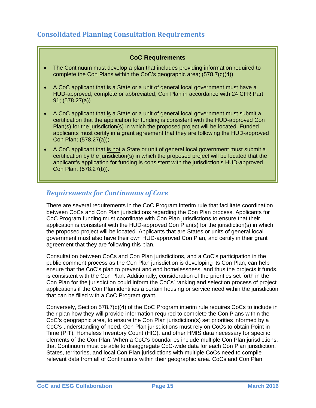#### **CoC Requirements**

- <span id="page-14-0"></span>• The Continuum must develop a plan that includes providing information required to complete the Con Plans within the CoC's geographic area; (578.7(c)(4))
- A CoC applicant that is a State or a unit of general local government must have a HUD-approved, complete or abbreviated, Con Plan in accordance with 24 CFR Part 91; (578.27(a))
- A CoC applicant that is a State or a unit of general local government must submit a certification that the application for funding is consistent with the HUD-approved Con Plan(s) for the jurisdiction(s) in which the proposed project will be located. Funded applicants must certify in a grant agreement that they are following the HUD-approved Con Plan; (578.27(a));
- A CoC applicant that is not a State or unit of general local government must submit a certification by the jurisdiction(s) in which the proposed project will be located that the applicant's application for funding is consistent with the jurisdiction's HUD-approved Con Plan. (578.27(b)).

# *Requirements for Continuums of Care*

There are several requirements in the CoC Program interim rule that facilitate coordination between CoCs and Con Plan jurisdictions regarding the Con Plan process. Applicants for CoC Program funding must coordinate with Con Plan jurisdictions to ensure that their application is consistent with the HUD-approved Con Plan(s) for the jurisdiction(s) in which the proposed project will be located. Applicants that are States or units of general local government must also have their own HUD-approved Con Plan, and certify in their grant agreement that they are following this plan.

Consultation between CoCs and Con Plan jurisdictions, and a CoC's participation in the public comment process as the Con Plan jurisdiction is developing its Con Plan, can help ensure that the CoC's plan to prevent and end homelessness, and thus the projects it funds, is consistent with the Con Plan. Additionally, consideration of the priorities set forth in the Con Plan for the jurisdiction could inform the CoCs' ranking and selection process of project applications if the Con Plan identifies a certain housing or service need within the jurisdiction that can be filled with a CoC Program grant.

Conversely, Section 578.7(c)(4) of the CoC Program interim rule requires CoCs to include in their plan how they will provide information required to complete the Con Plans within the CoC's geographic area, to ensure the Con Plan jurisdiction(s) set priorities informed by a CoC's understanding of need. Con Plan jurisdictions must rely on CoCs to obtain Point in Time (PIT), Homeless Inventory Count (HIC), and other HMIS data necessary for specific elements of the Con Plan. When a CoC's boundaries include multiple Con Plan jurisdictions, that Continuum must be able to disaggregate CoC-wide data for each Con Plan jurisdiction. States, territories, and local Con Plan jurisdictions with multiple CoCs need to compile relevant data from all of Continuums within their geographic area. CoCs and Con Plan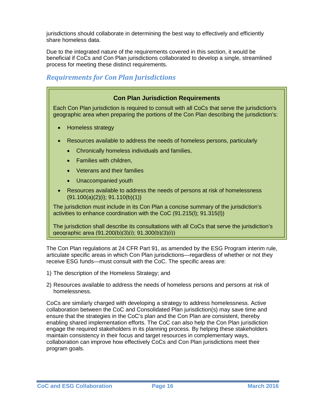<span id="page-15-0"></span>jurisdictions should collaborate in determining the best way to effectively and efficiently share homeless data.

Due to the integrated nature of the requirements covered in this section, it would be beneficial if CoCs and Con Plan jurisdictions collaborated to develop a single, streamlined process for meeting these distinct requirements.

### *Requirements for Con Plan Jurisdictions*



The Con Plan regulations at [24 CFR Part 91,](https://www.onecpd.info/resource/1935/conplan-reg-amend-esg-interim-rule-homeless-definition-final-rule/) as amended by the ESG Program interim rule, articulate specific areas in which Con Plan jurisdictions—regardless of whether or not they receive ESG funds—must consult with the CoC. The specific areas are:

- 1) The description of the Homeless Strategy; and
- 2) Resources available to address the needs of homeless persons and persons at risk of homelessness.

CoCs are similarly charged with developing a strategy to address homelessness. Active collaboration between the CoC and Consolidated Plan jurisdiction(s) may save time and ensure that the strategies in the CoC's plan and the Con Plan are consistent, thereby enabling shared implementation efforts. The CoC can also help the Con Plan jurisdiction engage the required stakeholders in its planning process. By helping these stakeholders maintain consistency in their focus and target resources in complementary ways, collaboration can improve how effectively CoCs and Con Plan jurisdictions meet their program goals.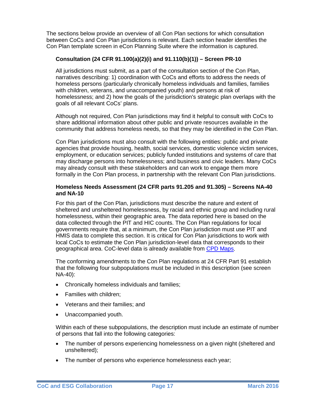The sections below provide an overview of all Con Plan sections for which consultation between CoCs and Con Plan jurisdictions is relevant. Each section header identifies the Con Plan template screen in eCon Planning Suite where the information is captured.

#### **Consultation (24 CFR 91.100(a)(2)(i) and 91.110(b)(1)) – Screen PR-10**

All jurisdictions must submit, as a part of the consultation section of the Con Plan, narratives describing: 1) coordination with CoCs and efforts to address the needs of homeless persons (particularly chronically homeless individuals and families, families with children, veterans, and unaccompanied youth) and persons at risk of homelessness; and 2) how the goals of the jurisdiction's strategic plan overlaps with the goals of all relevant CoCs' plans.

Although not required, Con Plan jurisdictions may find it helpful to consult with CoCs to share additional information about other public and private resources available in the community that address homeless needs, so that they may be identified in the Con Plan.

Con Plan jurisdictions must also consult with the following entities: public and private agencies that provide housing, health, social services, domestic violence victim services, employment, or education services; publicly funded institutions and systems of care that may discharge persons into homelessness; and business and civic leaders. Many CoCs may already consult with these stakeholders and can work to engage them more formally in the Con Plan process, in partnership with the relevant Con Plan jurisdictions.

#### **Homeless Needs Assessment (24 CFR parts 91.205 and 91.305) – Screens NA-40 and NA-10**

For this part of the Con Plan, jurisdictions must describe the nature and extent of sheltered and unsheltered homelessness, by racial and ethnic group and including rural homelessness, within their geographic area. The data reported here is based on the data collected through the PIT and HIC counts. The Con Plan regulations for local governments require that, at a minimum, the Con Plan jurisdiction must use PIT and HMIS data to complete this section. It is critical for Con Plan jurisdictions to work with local CoCs to estimate the Con Plan jurisdiction-level data that corresponds to their geographical area. CoC-level data is already available from [CPD Maps.](https://www.hudexchange.info/resource/2129/cpd-maps-consolidated-plan-and-continuum-of-care-planning-tool/)

The conforming amendments to the Con Plan regulations at 24 CFR Part 91 establish that the following four subpopulations must be included in this description (see screen NA-40):

- Chronically homeless individuals and families;
- Families with children;
- Veterans and their families; and
- Unaccompanied youth.

Within each of these subpopulations, the description must include an estimate of number of persons that fall into the following categories:

- The number of persons experiencing homelessness on a given night (sheltered and unsheltered);
- The number of persons who experience homelessness each year;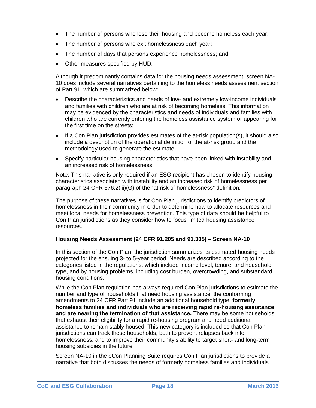- The number of persons who lose their housing and become homeless each year;
- The number of persons who exit homelessness each year;
- The number of days that persons experience homelessness; and
- Other measures specified by HUD.

Although it predominantly contains data for the housing needs assessment, screen NA-10 does include several narratives pertaining to the homeless needs assessment section of Part 91, which are summarized below:

- Describe the characteristics and needs of low- and extremely low-income individuals and families with children who are at risk of becoming homeless. This information may be evidenced by the characteristics and needs of individuals and families with children who are currently entering the homeless assistance system or appearing for the first time on the streets;
- If a Con Plan jurisdiction provides estimates of the at-risk population(s), it should also include a description of the operational definition of the at-risk group and the methodology used to generate the estimate;
- Specify particular housing characteristics that have been linked with instability and an increased risk of homelessness.

Note: This narrative is only required if an ESG recipient has chosen to identify housing characteristics associated with instability and an increased risk of homelessness per paragraph 24 CFR 576.2(iii)(G) of the "at risk of homelessness" definition.

The purpose of these narratives is for Con Plan jurisdictions to identify predictors of homelessness in their community in order to determine how to allocate resources and meet local needs for homelessness prevention. This type of data should be helpful to Con Plan jurisdictions as they consider how to focus limited housing assistance resources.

#### **Housing Needs Assessment (24 CFR 91.205 and 91.305) – Screen NA-10**

In this section of the Con Plan, the jurisdiction summarizes its estimated housing needs projected for the ensuing 3- to 5-year period. Needs are described according to the categories listed in the regulations, which include income level, tenure, and household type, and by housing problems, including cost burden, overcrowding, and substandard housing conditions.

While the Con Plan regulation has always required Con Plan jurisdictions to estimate the number and type of households that need housing assistance, the conforming amendments to 24 CFR Part 91 include an additional household type: **formerly homeless families and individuals who are receiving rapid re-housing assistance and are nearing the termination of that assistance.** There may be some households that exhaust their eligibility for a rapid re-housing program and need additional assistance to remain stably housed. This new category is included so that Con Plan jurisdictions can track these households, both to prevent relapses back into homelessness, and to improve their community's ability to target short- and long-term housing subsidies in the future.

Screen NA-10 in the eCon Planning Suite requires Con Plan jurisdictions to provide a narrative that both discusses the needs of formerly homeless families and individuals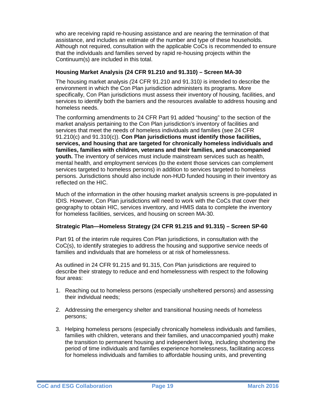who are receiving rapid re-housing assistance and are nearing the termination of that assistance, and includes an estimate of the number and type of these households. Although not required, consultation with the applicable CoCs is recommended to ensure that the individuals and families served by rapid re-housing projects within the Continuum(s) are included in this total.

#### **Housing Market Analysis (24 CFR 91.210 and 91.310) – Screen MA-30**

The housing market analysis *(*24 CFR 91.210 and 91.310*)* is intended to describe the environment in which the Con Plan jurisdiction administers its programs. More specifically, Con Plan jurisdictions must assess their inventory of housing, facilities, and services to identify both the barriers and the resources available to address housing and homeless needs.

The conforming amendments to 24 CFR Part 91 added "housing" to the section of the market analysis pertaining to the Con Plan jurisdiction's inventory of facilities and services that meet the needs of homeless individuals and families (see 24 CFR 91.210(c) and 91.310(c)). **Con Plan jurisdictions must identify those facilities, services, and housing that are targeted for chronically homeless individuals and families, families with children, veterans and their families, and unaccompanied youth.** The inventory of services must include mainstream services such as health, mental health, and employment services (to the extent those services can complement services targeted to homeless persons) in addition to services targeted to homeless persons. Jurisdictions should also include non-HUD funded housing in their inventory as reflected on the HIC.

Much of the information in the other housing market analysis screens is pre-populated in IDIS. However, Con Plan jurisdictions will need to work with the CoCs that cover their geography to obtain HIC, services inventory, and HMIS data to complete the inventory for homeless facilities, services, and housing on screen MA-30.

#### **Strategic Plan—Homeless Strategy (24 CFR 91.215 and 91.315) – Screen SP-60**

Part 91 of the interim rule requires Con Plan jurisdictions, in consultation with the CoC(s), to identify strategies to address the housing and supportive service needs of families and individuals that are homeless or at risk of homelessness.

As outlined in 24 CFR 91.215 and 91.315, Con Plan jurisdictions are required to describe their strategy to reduce and end homelessness with respect to the following four areas:

- 1. Reaching out to homeless persons (especially unsheltered persons) and assessing their individual needs;
- 2. Addressing the emergency shelter and transitional housing needs of homeless persons;
- 3. Helping homeless persons (especially chronically homeless individuals and families, families with children, veterans and their families, and unaccompanied youth) make the transition to permanent housing and independent living, including shortening the period of time individuals and families experience homelessness, facilitating access for homeless individuals and families to affordable housing units, and preventing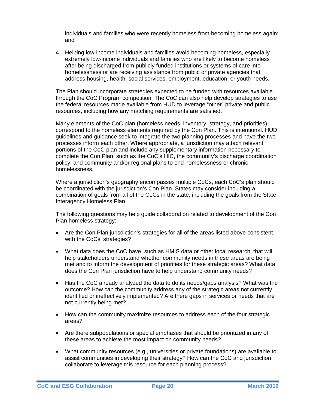individuals and families who were recently homeless from becoming homeless again; and

4. Helping low-income individuals and families avoid becoming homeless, especially extremely low-income individuals and families who are likely to become homeless after being discharged from publicly funded institutions or systems of care into homelessness or are receiving assistance from public or private agencies that address housing, health, social services, employment, education, or youth needs.

The Plan should incorporate strategies expected to be funded with resources available through the CoC Program competition. The CoC can also help develop strategies to use the federal resources made available from HUD to leverage "other" private and public resources, including how any matching requirements are satisfied.

Many elements of the CoC plan (homeless needs, inventory, strategy, and priorities) correspond to the homeless elements required by the Con Plan. This is intentional. HUD guidelines and guidance seek to integrate the two planning processes and have the two processes inform each other. Where appropriate, a jurisdiction may attach relevant portions of the CoC plan and include any supplementary information necessary to complete the Con Plan, such as the CoC's HIC, the community's discharge coordination policy, and community and/or regional plans to end homelessness or chronic homelessness.

Where a jurisdiction's geography encompasses multiple CoCs, each CoC's plan should be coordinated with the jurisdiction's Con Plan. States may consider including a combination of goals from all of the CoCs in the state, including the goals from the State Interagency Homeless Plan.

The following questions may help guide collaboration related to development of the Con Plan homeless strategy:

- Are the Con Plan jurisdiction's strategies for all of the areas listed above consistent with the CoCs' strategies?
- What data does the CoC have, such as HMIS data or other local research, that will help stakeholders understand whether community needs in these areas are being met and to inform the development of priorities for these strategic areas? What data does the Con Plan jurisdiction have to help understand community needs?
- Has the CoC already analyzed the data to do its needs/gaps analysis? What was the outcome? How can the community address any of the strategic areas not currently identified or ineffectively implemented? Are there gaps in services or needs that are not currently being met?
- How can the community maximize resources to address each of the four strategic areas?
- Are there subpopulations or special emphases that should be prioritized in any of these areas to achieve the most impact on community needs?
- What community resources (e.g., universities or private foundations) are available to assist communities in developing their strategy? How can the CoC and jurisdiction collaborate to leverage this resource for each planning process?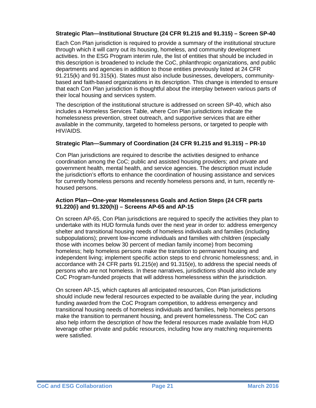#### **Strategic Plan—Institutional Structure (24 CFR 91.215 and 91.315) – Screen SP-40**

Each Con Plan jurisdiction is required to provide a summary of the institutional structure through which it will carry out its housing, homeless, and community development activities. In the ESG Program interim rule, the list of entities that should be included in this description is broadened to include the CoC, philanthropic organizations, and public departments and agencies in addition to those entities previously listed at 24 CFR 91.215(k) and 91.315(k). States must also include businesses, developers, communitybased and faith-based organizations in its description. This change is intended to ensure that each Con Plan jurisdiction is thoughtful about the interplay between various parts of their local housing and services system.

The description of the institutional structure is addressed on screen SP-40, which also includes a Homeless Services Table, where Con Plan jurisdictions indicate the homelessness prevention, street outreach, and supportive services that are either available in the community, targeted to homeless persons, or targeted to people with HIV/AIDS.

#### **Strategic Plan—Summary of Coordination (24 CFR 91.215 and 91.315) – PR-10**

Con Plan jurisdictions are required to describe the activities designed to enhance coordination among the CoC; public and assisted housing providers; and private and government health, mental health, and service agencies. The description must include the jurisdiction's efforts to enhance the coordination of housing assistance and services for currently homeless persons and recently homeless persons and, in turn, recently rehoused persons.

#### **Action Plan—One-year Homelessness Goals and Action Steps (24 CFR parts 91.220(i) and 91.320(h)) – Screens AP-65 and AP-15**

On screen AP-65, Con Plan jurisdictions are required to specify the activities they plan to undertake with its HUD formula funds over the next year in order to: address emergency shelter and transitional housing needs of homeless individuals and families (including subpopulations); prevent low-income individuals and families with children (especially those with incomes below 30 percent of median family income) from becoming homeless; help homeless persons make the transition to permanent housing and independent living; implement specific action steps to end chronic homelessness; and, in accordance with 24 CFR parts 91.215(e) and 91.315(e), to address the special needs of persons who are not homeless. In these narratives, jurisdictions should also include any CoC Program-funded projects that will address homelessness within the jurisdiction.

On screen AP-15, which captures all anticipated resources, Con Plan jurisdictions should include new federal resources expected to be available during the year, including funding awarded from the CoC Program competition, to address emergency and transitional housing needs of homeless individuals and families, help homeless persons make the transition to permanent housing, and prevent homelessness. The CoC can also help inform the description of how the federal resources made available from HUD leverage other private and public resources, including how any matching requirements were satisfied.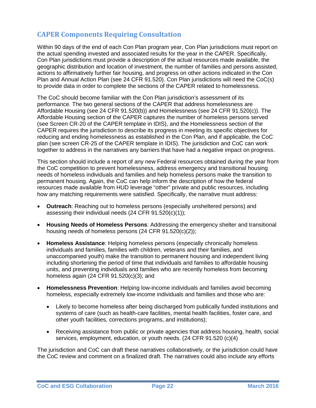# <span id="page-21-0"></span>**CAPER Components Requiring Consultation**

Within 90 days of the end of each Con Plan program year, Con Plan jurisdictions must report on the actual spending invested and associated results for the year in the CAPER. Specifically, Con Plan jurisdictions must provide a description of the actual resources made available, the geographic distribution and location of investment, the number of families and persons assisted, actions to affirmatively further fair housing, and progress on other actions indicated in the Con Plan and Annual Action Plan (see 24 CFR 91.520). Con Plan jurisdictions will need the CoC(s) to provide data in order to complete the sections of the CAPER related to homelessness.

The CoC should become familiar with the Con Plan jurisdiction's assessment of its performance. The two general sections of the CAPER that address homelessness are Affordable Housing (see 24 CFR 91.520(b)) and Homelessness (see 24 CFR 91.520(c)). The Affordable Housing section of the CAPER captures the number of homeless persons served (see Screen CR-20 of the CAPER template in IDIS), and the Homelessness section of the CAPER requires the jurisdiction to describe its progress in meeting its specific objectives for reducing and ending homelessness as established in the Con Plan, and if applicable, the CoC plan (see screen CR-25 of the CAPER template in IDIS). The jurisdiction and CoC can work together to address in the narratives any barriers that have had a negative impact on progress.

This section should include a report of any new Federal resources obtained during the year from the CoC competition to prevent homelessness, address emergency and transitional housing needs of homeless individuals and families and help homeless persons make the transition to permanent housing. Again, the CoC can help inform the description of how the federal resources made available from HUD leverage "other" private and public resources, including how any matching requirements were satisfied. Specifically, the narrative must address:

- **Outreach**: Reaching out to homeless persons (especially unsheltered persons) and assessing their individual needs (24 CFR 91.520(c)(1));
- **Housing Needs of Homeless Persons**: Addressing the emergency shelter and transitional housing needs of homeless persons (24 CFR 91.520(c)(2));
- **Homeless Assistance**: Helping homeless persons (especially chronically homeless individuals and families, families with children, veterans and their families, and unaccompanied youth) make the transition to permanent housing and independent living including shortening the period of time that individuals and families to affordable housing units, and preventing individuals and families who are recently homeless from becoming homeless again (24 CFR 91.520(c)(3); and
- **Homelessness Prevention**: Helping low-income individuals and families avoid becoming homeless, especially extremely low-income individuals and families and those who are:
	- Likely to become homeless after being discharged from publically funded institutions and systems of care (such as health-care facilities, mental health facilities, foster care, and other youth facilities, corrections programs, and institutions);
	- Receiving assistance from public or private agencies that address housing, health, social services, employment, education, or youth needs. (24 CFR 91.520 (c)(4)

The jurisdiction and CoC can draft these narratives collaboratively, or the jurisdiction could have the CoC review and comment on a finalized draft. The narratives could also include any efforts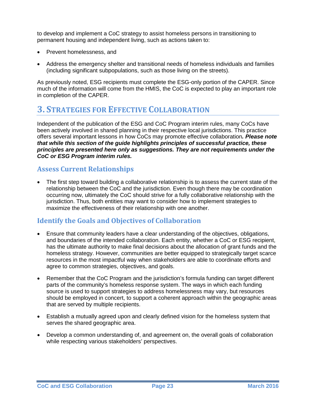<span id="page-22-0"></span>to develop and implement a CoC strategy to assist homeless persons in transitioning to permanent housing and independent living, such as actions taken to:

- Prevent homelessness, and
- Address the emergency shelter and transitional needs of homeless individuals and families (including significant subpopulations, such as those living on the streets).

As previously noted, ESG recipients must complete the ESG-only portion of the CAPER. Since much of the information will come from the HMIS, the CoC is expected to play an important role in completion of the CAPER.

# **3. STRATEGIES FOR EFFECTIVE COLLABORATION**

Independent of the publication of the ESG and CoC Program interim rules, many CoCs have been actively involved in shared planning in their respective local jurisdictions. This practice offers several important lessons in how CoCs may promote effective collaboration*. Please note that while this section of the guide highlights principles of successful practice, these principles are presented here only as suggestions. They are not requirements under the CoC or ESG Program interim rules.*

#### **Assess Current Relationships**

• The first step toward building a collaborative relationship is to assess the current state of the relationship between the CoC and the jurisdiction. Even though there may be coordination occurring now, ultimately the CoC should strive for a fully collaborative relationship with the jurisdiction. Thus, both entities may want to consider how to implement strategies to maximize the effectiveness of their relationship with one another.

### **Identify the Goals and Objectives of Collaboration**

- Ensure that community leaders have a clear understanding of the objectives, obligations, and boundaries of the intended collaboration. Each entity, whether a CoC or ESG recipient, has the ultimate authority to make final decisions about the allocation of grant funds and the homeless strategy. However, communities are better equipped to strategically target scarce resources in the most impactful way when stakeholders are able to coordinate efforts and agree to common strategies, objectives, and goals.
- Remember that the CoC Program and the jurisdiction's formula funding can target different parts of the community's homeless response system. The ways in which each funding source is used to support strategies to address homelessness may vary, but resources should be employed in concert, to support a coherent approach within the geographic areas that are served by multiple recipients.
- Establish a mutually agreed upon and clearly defined vision for the homeless system that serves the shared geographic area.
- Develop a common understanding of, and agreement on, the overall goals of collaboration while respecting various stakeholders' perspectives.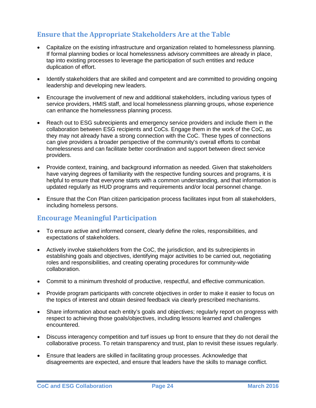# <span id="page-23-0"></span>**Ensure that the Appropriate Stakeholders Are at the Table**

- Capitalize on the existing infrastructure and organization related to homelessness planning. If formal planning bodies or local homelessness advisory committees are already in place, tap into existing processes to leverage the participation of such entities and reduce duplication of effort.
- Identify stakeholders that are skilled and competent and are committed to providing ongoing leadership and developing new leaders.
- Encourage the involvement of new and additional stakeholders, including various types of service providers, HMIS staff, and local homelessness planning groups, whose experience can enhance the homelessness planning process.
- Reach out to ESG subrecipients and emergency service providers and include them in the collaboration between ESG recipients and CoCs. Engage them in the work of the CoC, as they may not already have a strong connection with the CoC. These types of connections can give providers a broader perspective of the community's overall efforts to combat homelessness and can facilitate better coordination and support between direct service providers.
- Provide context, training, and background information as needed. Given that stakeholders have varying degrees of familiarity with the respective funding sources and programs, it is helpful to ensure that everyone starts with a common understanding, and that information is updated regularly as HUD programs and requirements and/or local personnel change.
- Ensure that the Con Plan citizen participation process facilitates input from all stakeholders, including homeless persons.

### **Encourage Meaningful Participation**

- To ensure active and informed consent, clearly define the roles, responsibilities, and expectations of stakeholders.
- Actively involve stakeholders from the CoC, the jurisdiction, and its subrecipients in establishing goals and objectives, identifying major activities to be carried out, negotiating roles and responsibilities, and creating operating procedures for community-wide collaboration.
- Commit to a minimum threshold of productive, respectful, and effective communication.
- Provide program participants with concrete objectives in order to make it easier to focus on the topics of interest and obtain desired feedback via clearly prescribed mechanisms.
- Share information about each entity's goals and objectives; regularly report on progress with respect to achieving those goals/objectives, including lessons learned and challenges encountered.
- Discuss interagency competition and turf issues up front to ensure that they do not derail the collaborative process. To retain transparency and trust, plan to revisit these issues regularly.
- Ensure that leaders are skilled in facilitating group processes. Acknowledge that disagreements are expected, and ensure that leaders have the skills to manage conflict.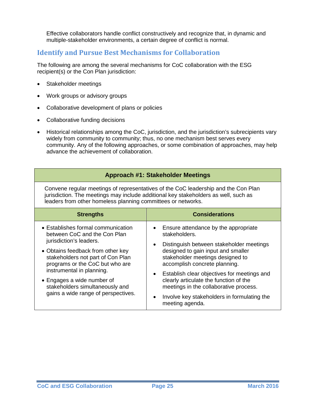<span id="page-24-0"></span>Effective collaborators handle conflict constructively and recognize that, in dynamic and multiple-stakeholder environments, a certain degree of conflict is normal.

#### **Identify and Pursue Best Mechanisms for Collaboration**

The following are among the several mechanisms for CoC collaboration with the ESG recipient(s) or the Con Plan jurisdiction:

- Stakeholder meetings
- Work groups or advisory groups
- Collaborative development of plans or policies
- Collaborative funding decisions
- Historical relationships among the CoC, jurisdiction, and the jurisdiction's subrecipients vary widely from community to community; thus, no one mechanism best serves every community. Any of the following approaches, or some combination of approaches, may help advance the achievement of collaboration.

| <b>Approach #1: Stakeholder Meetings</b>                                                                                                                                                                                                                                                                                                        |                                                                                                                                                                                                                                                                                                                                                                                                                                |  |  |  |
|-------------------------------------------------------------------------------------------------------------------------------------------------------------------------------------------------------------------------------------------------------------------------------------------------------------------------------------------------|--------------------------------------------------------------------------------------------------------------------------------------------------------------------------------------------------------------------------------------------------------------------------------------------------------------------------------------------------------------------------------------------------------------------------------|--|--|--|
| Convene regular meetings of representatives of the CoC leadership and the Con Plan<br>jurisdiction. The meetings may include additional key stakeholders as well, such as<br>leaders from other homeless planning committees or networks.                                                                                                       |                                                                                                                                                                                                                                                                                                                                                                                                                                |  |  |  |
| <b>Strengths</b>                                                                                                                                                                                                                                                                                                                                | <b>Considerations</b>                                                                                                                                                                                                                                                                                                                                                                                                          |  |  |  |
| • Establishes formal communication<br>between CoC and the Con Plan<br>jurisdiction's leaders.<br>• Obtains feedback from other key<br>stakeholders not part of Con Plan<br>programs or the CoC but who are<br>instrumental in planning.<br>• Engages a wide number of<br>stakeholders simultaneously and<br>gains a wide range of perspectives. | Ensure attendance by the appropriate<br>stakeholders.<br>Distinguish between stakeholder meetings<br>$\bullet$<br>designed to gain input and smaller<br>stakeholder meetings designed to<br>accomplish concrete planning.<br>Establish clear objectives for meetings and<br>clearly articulate the function of the<br>meetings in the collaborative process.<br>Involve key stakeholders in formulating the<br>meeting agenda. |  |  |  |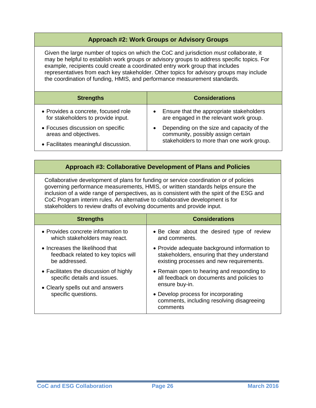#### **Approach #2: Work Groups or Advisory Groups**

Given the large number of topics on which the CoC and jurisdiction *must* collaborate, it may be helpful to establish work groups or advisory groups to address specific topics. For example, recipients could create a coordinated entry work group that includes representatives from each key stakeholder. Other topics for advisory groups may include the coordination of funding, HMIS, and performance measurement standards.

| <b>Strengths</b>                                                                                  | <b>Considerations</b>                                                                                                                     |
|---------------------------------------------------------------------------------------------------|-------------------------------------------------------------------------------------------------------------------------------------------|
| • Provides a concrete, focused role<br>for stakeholders to provide input.                         | Ensure that the appropriate stakeholders<br>$\bullet$<br>are engaged in the relevant work group.                                          |
| • Focuses discussion on specific<br>areas and objectives.<br>• Facilitates meaningful discussion. | Depending on the size and capacity of the<br>$\bullet$<br>community, possibly assign certain<br>stakeholders to more than one work group. |

#### **Approach #3: Collaborative Development of Plans and Policies**

Collaborative development of plans for funding or service coordination or of policies governing performance measurements, HMIS, or written standards helps ensure the inclusion of a wide range of perspectives, as is consistent with the spirit of the ESG and CoC Program interim rules. An alternative to collaborative development is for stakeholders to review drafts of evolving documents and provide input.

| <b>Strengths</b>                       | <b>Considerations</b>                                                                        |
|----------------------------------------|----------------------------------------------------------------------------------------------|
| • Provides concrete information to     | • Be clear about the desired type of review                                                  |
| which stakeholders may react.          | and comments.                                                                                |
| • Increases the likelihood that        | • Provide adequate background information to                                                 |
| feedback related to key topics will    | stakeholders, ensuring that they understand                                                  |
| be addressed.                          | existing processes and new requirements.                                                     |
| • Facilitates the discussion of highly | • Remain open to hearing and responding to                                                   |
| specific details and issues.           | all feedback on documents and policies to                                                    |
| • Clearly spells out and answers       | ensure buy-in.                                                                               |
| specific questions.                    | • Develop process for incorporating<br>comments, including resolving disagreeing<br>comments |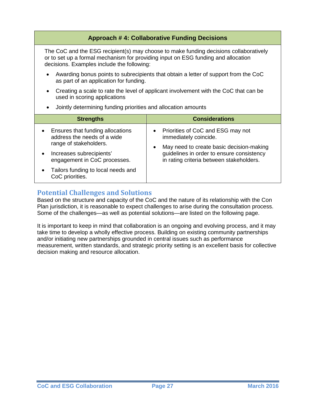<span id="page-26-0"></span>

| <b>Approach #4: Collaborative Funding Decisions</b>                                                                                                                                                                      |                                                                                                    |  |  |
|--------------------------------------------------------------------------------------------------------------------------------------------------------------------------------------------------------------------------|----------------------------------------------------------------------------------------------------|--|--|
| The CoC and the ESG recipient(s) may choose to make funding decisions collaboratively<br>or to set up a formal mechanism for providing input on ESG funding and allocation<br>decisions. Examples include the following: |                                                                                                    |  |  |
| Awarding bonus points to subrecipients that obtain a letter of support from the CoC<br>$\bullet$<br>as part of an application for funding.                                                                               |                                                                                                    |  |  |
| Creating a scale to rate the level of applicant involvement with the CoC that can be<br>$\bullet$<br>used in scoring applications                                                                                        |                                                                                                    |  |  |
| Jointly determining funding priorities and allocation amounts<br>$\bullet$                                                                                                                                               |                                                                                                    |  |  |
| <b>Strengths</b>                                                                                                                                                                                                         | <b>Considerations</b>                                                                              |  |  |
| Ensures that funding allocations<br>address the needs of a wide                                                                                                                                                          | Priorities of CoC and ESG may not<br>immediately coincide.                                         |  |  |
| range of stakeholders.<br>Increases subrecipients'<br>$\bullet$                                                                                                                                                          | May need to create basic decision-making<br>$\bullet$<br>guidelines in order to ensure consistency |  |  |
| engagement in CoC processes.                                                                                                                                                                                             | in rating criteria between stakeholders.                                                           |  |  |
|                                                                                                                                                                                                                          |                                                                                                    |  |  |

### **Potential Challenges and Solutions**

Based on the structure and capacity of the CoC and the nature of its relationship with the Con Plan jurisdiction, it is reasonable to expect challenges to arise during the consultation process. Some of the challenges—as well as potential solutions—are listed on the following page.

It is important to keep in mind that collaboration is an ongoing and evolving process, and it may take time to develop a wholly effective process. Building on existing community partnerships and/or initiating new partnerships grounded in central issues such as performance measurement, written standards, and strategic priority setting is an excellent basis for collective decision making and resource allocation.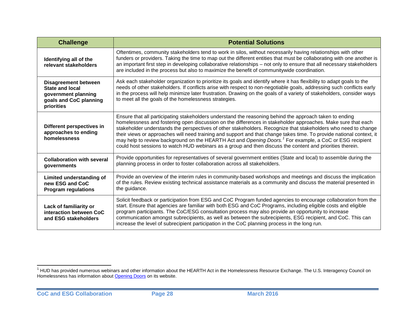<span id="page-27-0"></span>

| <b>Challenge</b>                                                                                                     | <b>Potential Solutions</b>                                                                                                                                                                                                                                                                                                                                                                                                                                                                                                                                                                                                                                                                            |
|----------------------------------------------------------------------------------------------------------------------|-------------------------------------------------------------------------------------------------------------------------------------------------------------------------------------------------------------------------------------------------------------------------------------------------------------------------------------------------------------------------------------------------------------------------------------------------------------------------------------------------------------------------------------------------------------------------------------------------------------------------------------------------------------------------------------------------------|
| Identifying all of the<br>relevant stakeholders                                                                      | Oftentimes, community stakeholders tend to work in silos, without necessarily having relationships with other<br>funders or providers. Taking the time to map out the different entities that must be collaborating with one another is<br>an important first step in developing collaborative relationships - not only to ensure that all necessary stakeholders<br>are included in the process but also to maximize the benefit of communitywide coordination.                                                                                                                                                                                                                                      |
| <b>Disagreement between</b><br><b>State and local</b><br>government planning<br>goals and CoC planning<br>priorities | Ask each stakeholder organization to prioritize its goals and identify where it has flexibility to adapt goals to the<br>needs of other stakeholders. If conflicts arise with respect to non-negotiable goals, addressing such conflicts early<br>in the process will help minimize later frustration. Drawing on the goals of a variety of stakeholders, consider ways<br>to meet all the goals of the homelessness strategies.                                                                                                                                                                                                                                                                      |
| Different perspectives in<br>approaches to ending<br>homelessness                                                    | Ensure that all participating stakeholders understand the reasoning behind the approach taken to ending<br>homelessness and fostering open discussion on the differences in stakeholder approaches. Make sure that each<br>stakeholder understands the perspectives of other stakeholders. Recognize that stakeholders who need to change<br>their views or approaches will need training and support and that change takes time. To provide national context, it<br>may help to review background on the HEARTH Act and Opening Doors. <sup>1</sup> For example, a CoC or ESG recipient<br>could host sessions to watch HUD webinars as a group and then discuss the content and priorities therein. |
| <b>Collaboration with several</b><br>governments                                                                     | Provide opportunities for representatives of several government entities (State and local) to assemble during the<br>planning process in order to foster collaboration across all stakeholders.                                                                                                                                                                                                                                                                                                                                                                                                                                                                                                       |
| Limited understanding of<br>new ESG and CoC<br><b>Program regulations</b>                                            | Provide an overview of the interim rules in community-based workshops and meetings and discuss the implication<br>of the rules. Review existing technical assistance materials as a community and discuss the material presented in<br>the guidance.                                                                                                                                                                                                                                                                                                                                                                                                                                                  |
| Lack of familiarity or<br>interaction between CoC<br>and ESG stakeholders                                            | Solicit feedback or participation from ESG and CoC Program funded agencies to encourage collaboration from the<br>start. Ensure that agencies are familiar with both ESG and CoC Programs, including eligible costs and eligible<br>program participants. The CoC/ESG consultation process may also provide an opportunity to increase<br>communication amongst subrecipients, as well as between the subrecipients, ESG recipient, and CoC. This can<br>increase the level of subrecipient participation in the CoC planning process in the long run.                                                                                                                                                |

 $\overline{\phantom{a}}$  $1$  HUD has provided numerous webinars and other information about the HEARTH Act in the Homelessness Resource Exchange. The U.S. Interagency Council on Homelessness has information about **Opening Doors** on its website.